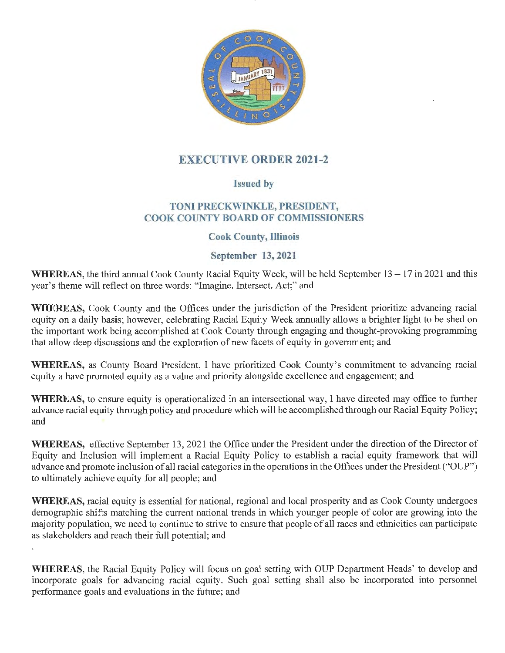

# **EXECUTIVE ORDER 2021-2**

## **Issued by**

## **TONI PRECKWINKLE, PRESIDENT, COOK COUNTY BOARD OF COMMISSIONERS**

### **Cook County, Illinois**

### **September 13, 2021**

**WHEREAS,** the third annual Cook County Racial Equity Week, will be held September 13 -17 in 2021 and this year's theme will reflect on three words: "Imagine. Intersect. Act;" and

**WHEREAS,** Cook County and the Offices under the jurisdiction of the President prioritize advancing racial equity on a daily basis; however, celebrating Racial Equity Week annually allows a brighter light to be shed on the important work being accomplished at Cook County through engaging and thought-provoking programming that allow deep discussions and the exploration of new facets of equity in government; and

**WHEREAS,** as County Board President, I have prioritized Cook County's commitment to advancing racial equity a have promoted equity as a value and priority alongside excellence and engagement; and

**WHEREAS,** to ensure equity is operationalized in an intersectional way, I have directed may office to further advance racial equity through policy and procedure which will be accomplished through our Racial Equity Policy; and

**WHEREAS,** effective September 13, 2021 the Office under the President under the direction of the Director of Equity and Inclusion will implement a Racial Equity Policy to establish a racial equity framework that will advance and promote inclusion of all racial categories in the operations in the Offices under the President ("OUP") to ultimately achieve equity for all people; and

**WHEREAS,** racial equity is essential for national, regional and local prosperity and as Cook County undergoes demographic shifts matching the current national trends in which younger people of color are growing into the majority population, we need to continue to strive to ensure that people of all races and ethnicities can participate as stakeholders and reach their full potential; and

**WHEREAS,** the Racial Equity Policy will focus on goal setting with OUP Department Heads' to develop and incorporate goals for advancing racial equity. Such goal setting shall also be incorporated into personnel performance goals and evaluations in the future; and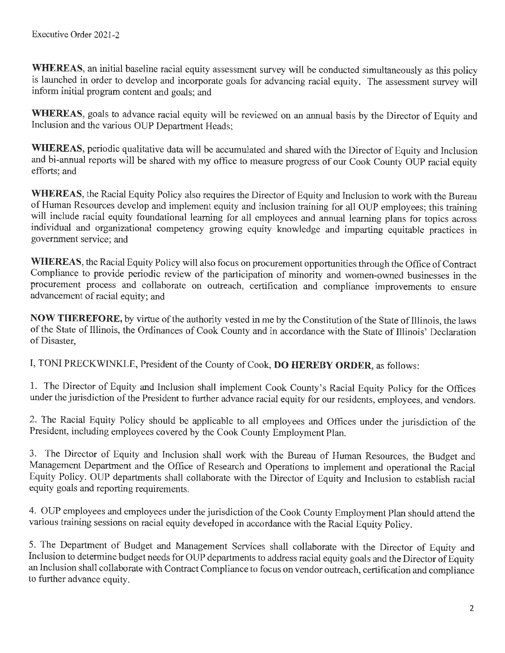**WHEREAS,** an initial baseline racial equity assessment survey will be conducted simultaneously as this policy is launched in order to develop and incorporate goals for advancing racial equity. The assessment survey will inform initial program content and goals; and

**WHEREAS,** goals to advance racial equity will be reviewed on an annual basis by the Director of Equity and Inclusion and the various OUP Department Heads;

**WHEREAS,** periodic qualitative data will be accumulated and shared with the Director of Equity and Inclusion and bi-annual reports will be shared with my office to measure progress of our Cook County OUP racial equity efforts; and

**WHEREAS,** the Racial Equity Policy also requires the Director of Equity and Inclusion to work with the Bureau of Human Resources develop and implement equity and inclusion training for all OUP employees; this training will include racial equity foundational learning for all employees and annual learning plans for topics across individual and organizational competency growing equity knowledge and imparting equitable practices in government service; and

**WHEREAS,** the Racial Equity Policy will also focus on procurement opportunities through the Office of Contract Compliance to provide periodic review of the participation of minority and women-owned businesses in the procurement process and collaborate on outreach, certification and compliance improvements to ensure advancement of racial equity; and

**NOW THEREFORE,** by virtue of the authority vested in me by the Constitution of the State of Illinois, the laws of the State of Illinois, the Ordinances of Cook County and in accordance with the State of Illinois' Declaration of Disaster,

I, TONI PRECKWINKLE, President of the County of Cook, **DO HEREBY ORDER,** as follows:

1. The Director of Equity and Inclusion shall implement Cook County's Racial Equity Policy for the Offices under the jurisdiction of the President to further advance racial equity for our residents, employees, and vendors.

2. The Racial Equity Policy should be applicable to all employees and Offices under the jurisdiction of the President, including employees covered by the Cook County Employment Plan.

3. The Director of Equity and Inclusion shall work with the Bureau of Human Resources, the Budget and Management Department and the Office of Research and Operations to implement and operational the Racial Equity Policy. OUP departments shall collaborate with the Director of Equity and Inclusion to establish racial equity goals and reporting requirements.

4. OUP employees and employees under the jurisdiction of the Cook County Employment Plan should attend the various training sessions on racial equity developed in accordance with the Racial Equity Policy.

5. The Department of Budget and Management Services shall collaborate with the Director of Equity and Inclusion to determine budget needs for OUP departments to address racial equity goals and the Director of Equity an Inclusion shall collaborate with Contract Compliance to focus on vendor outreach, certification and compliance to finther advance equity.